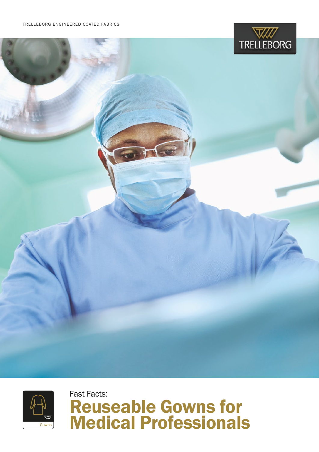





Fast Facts: Reuseable Gowns for Medical Professionals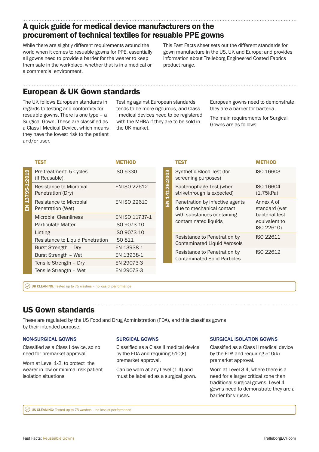### A quick guide for medical device manufacturers on the procurement of technical textiles for resuable PPE gowns

While there are slightly different requirements around the world when it comes to resuable gowns for PPE, essentially all gowns need to provide a barrier for the wearer to keep them safe in the workplace, whether that is in a medical or a commercial environment.

This Fast Facts sheet sets out the different standards for gown manufacture in the US, UK and Europe; and provides information about Trelleborg Engineered Coated Fabrics product range.

### European & UK Gown standards

The UK follows European standards in regards to testing and conformity for resuable gowns. There is one type – a Surgical Gown. These are classified as a Class I Medical Device, which means they have the lowest risk to the patient and/or user.

Testing against European standards tends to be more rigourous, and Class I medical devices need to be registered with the MHRA if they are to be sold in the UK market.

European gowns need to demonstrate they are a barrier for bacteria.

The main requirements for Surgical Gowns are as follows:

|              | TEST                                         | <b>METHOD</b>       |  |
|--------------|----------------------------------------------|---------------------|--|
| 13795-1:2019 | Pre-treatment: 5 Cycles<br>(If Reusable)     | <b>ISO 6330</b>     |  |
|              | Resistance to Microbial<br>Penetration (Dry) | <b>EN ISO 22612</b> |  |
| 즚            | Resistance to Microbial<br>Penetration (Wet) | <b>EN ISO 22610</b> |  |
|              | <b>Microbial Cleanliness</b>                 | EN ISO 11737-1      |  |
|              | Particulate Matter                           | ISO 9073-10         |  |
|              | Linting                                      | ISO 9073-10         |  |
|              | Resistance to Liquid Penetration             | ISO 811             |  |
|              | Burst Strength - Dry                         | EN 13938-1          |  |
|              | Burst Strength - Wet                         | EN 13938-1          |  |
|              | Tensile Strength - Dry                       | EN 29073-3          |  |
|              | Tensile Strength - Wet                       | EN 29073-3          |  |

|                      | TEST                                                                                                               | METHOD                                                                       |
|----------------------|--------------------------------------------------------------------------------------------------------------------|------------------------------------------------------------------------------|
| <b>EN 14126:2003</b> | Synthetic Blood Test (for<br>screening purposes)                                                                   | ISO 16603                                                                    |
|                      | Bacteriophage Test (when<br>strikethrough is expected)                                                             | ISO 16604<br>(1.75kPa)                                                       |
|                      | Penetration by infective agents<br>due to mechanical contact<br>with substances containing<br>contaminated liquids | Annex A of<br>standard (wet<br>bacterial test<br>equivalent to<br>ISO 22610) |
|                      | Resistance to Penetration by<br>Contaminated Liquid Aerosols                                                       | ISO 22611                                                                    |
|                      | Resistance to Penetration by<br><b>Contaminated Solid Particles</b>                                                | ISO 22612                                                                    |

 $\heartsuit$  UK CLEANING: Tested up to 75 washes – no loss of performance

## US Gown standards

These are regulated by the US Food and Drug Administration (FDA), and this classifies gowns by their intended purpose:

#### NON-SURGICAL GOWNS

Classified as a Class I device, so no need for premarket approval.

Worn at Level 1-2, to protect the wearer in low or minimal risk patient isolation situations.

### SURGICAL GOWNS

Classified as a Class II medical device by the FDA and requiring 510(k) premarket approval.

Can be worn at any Level (1-4) and must be labelled as a surgical gown.

#### SURGICAL ISOLATION GOWNS

Classified as a Class II medical device by the FDA and requiring 510(k) premarket approval.

Worn at Level 3-4, where there is a need for a larger critical zone than traditional surgical gowns. Level 4 gowns need to demonstrate they are a barrier for viruses.

 $\heartsuit$  US CLEANING: Tested up to 75 washes – no loss of performance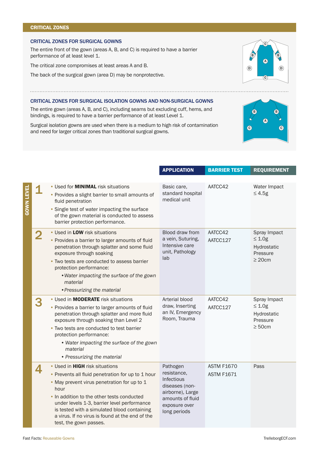#### CRITICAL ZONES

#### CRITICAL ZONES FOR SURGICAL GOWNS

The entire front of the gown (areas A, B, and C) is required to have a barrier performance of at least level 1.

The critical zone compromises at least areas A and B.

The back of the surgical gown (area D) may be nonprotective.

#### CRITICAL ZONES FOR SURGICAL ISOLATION GOWNS AND NON-SURGICAL GOWNS

The entire gown (areas A, B, and C), including seams but excluding cuff, hems, and bindings, is required to have a barrier performance of at least Level 1.

Surgical isolation gowns are used when there is a medium to high risk of contamination and need for larger critical zones than traditional surgical gowns.

|                   |                         |                                                                                                                                                                                                                                                                                                                                                                            | <b>APPLICATION</b>                                                                                                               | <b>BARRIER TEST</b>                    | <b>REQUIREMENT</b>                                                      |
|-------------------|-------------------------|----------------------------------------------------------------------------------------------------------------------------------------------------------------------------------------------------------------------------------------------------------------------------------------------------------------------------------------------------------------------------|----------------------------------------------------------------------------------------------------------------------------------|----------------------------------------|-------------------------------------------------------------------------|
|                   |                         |                                                                                                                                                                                                                                                                                                                                                                            |                                                                                                                                  |                                        |                                                                         |
| <b>GOWN LEVEL</b> |                         | • Used for <b>MINIMAL</b> risk situations<br>• Provides a slight barrier to small amounts of<br>fluid penetration<br>• Single test of water impacting the surface<br>of the gown material is conducted to assess<br>barrier protection performance.                                                                                                                        | Basic care,<br>standard hospital<br>medical unit                                                                                 | AATCC42                                | Water Impact<br>$≤ 4.5g$                                                |
|                   | $\overline{\mathbf{2}}$ | • Used in LOW risk situations<br>• Provides a barrier to larger amounts of fluid<br>penetration through splatter and some fluid<br>exposure through soaking<br>• Two tests are conducted to assess barrier<br>protection performance:<br>. Water impacting the surface of the gown<br>material<br>• Pressurizing the material                                              | Blood draw from<br>a vein, Suturing,<br>Intensive care<br>unit, Pathology<br>lab                                                 | AATCC42<br>AATCC127                    | Spray Impact<br>$\leq 1.0g$<br>Hydrostatic<br>Pressure<br>$\geq 20$ cm  |
|                   | 3                       | • Used in <b>MODERATE</b> risk situations<br>• Provides a barrier to larger amounts of fluid<br>penetration through splatter and more fluid<br>exposure through soaking than Level 2<br>• Two tests are conducted to test barrier<br>protection performance:<br>• Water impacting the surface of the gown<br>material<br>• Pressurizing the material                       | Arterial blood<br>draw, Inserting<br>an IV, Emergency<br>Room, Trauma                                                            | AATCC42<br>AATCC127                    | Spray Impact<br>$\leq 1.0$ g<br>Hydrostatic<br>Pressure<br>$\geq 50$ cm |
|                   | 4                       | • Used in <b>HIGH</b> risk situations<br>• Prevents all fluid penetration for up to 1 hour<br>. May prevent virus penetration for up to 1<br>hour<br>• In addition to the other tests conducted<br>under levels 1-3, barrier level performance<br>is tested with a simulated blood containing<br>a virus. If no virus is found at the end of the<br>test, the gown passes. | Pathogen<br>resistance,<br>Infectious<br>diseases (non-<br>airborne), Large<br>amounts of fluid<br>exposure over<br>long periods | <b>ASTM F1670</b><br><b>ASTM F1671</b> | Pass                                                                    |



. . . . . . . . . . . . . . .